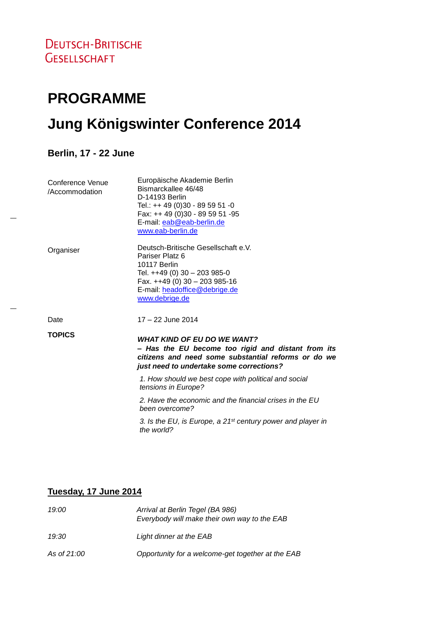# **PROGRAMME**

# **Jung Königswinter Conference 2014**

**Berlin, 17 - 22 June**

| Conference Venue<br>/Accommodation | Europäische Akademie Berlin<br>Bismarckallee 46/48<br>D-14193 Berlin<br>Tel.: ++ 49 (0)30 - 89 59 51 -0<br>Fax: ++ 49 (0)30 - 89 59 51 -95<br>E-mail: eab@eab-berlin.de<br>www.eab-berlin.de |
|------------------------------------|----------------------------------------------------------------------------------------------------------------------------------------------------------------------------------------------|
| Organiser                          | Deutsch-Britische Gesellschaft e.V.<br>Pariser Platz 6<br>10117 Berlin<br>Tel. ++49 (0) 30 - 203 985-0<br>Fax. $++49$ (0) 30 - 203 985-16<br>E-mail: headoffice@debrige.de<br>www.debrige.de |
| Date                               | 17 - 22 June 2014                                                                                                                                                                            |
| <b>TOPICS</b>                      | <b>WHAT KIND OF EU DO WE WANT?</b><br>- Has the EU become too rigid and distant from its<br>citizens and need some substantial reforms or do we<br>just need to undertake some corrections?  |
|                                    | 1. How should we best cope with political and social<br>tensions in Europe?                                                                                                                  |
|                                    | 2. Have the economic and the financial crises in the EU<br>been overcome?                                                                                                                    |
|                                    | 3. Is the EU, is Europe, a 21 <sup>st</sup> century power and player in<br>the world?                                                                                                        |
|                                    |                                                                                                                                                                                              |

#### **Tuesday, 17 June 2014**

| 19:00       | Arrival at Berlin Tegel (BA 986)<br>Everybody will make their own way to the EAB |
|-------------|----------------------------------------------------------------------------------|
| 19:30       | Light dinner at the EAB                                                          |
| As of 21:00 | Opportunity for a welcome-get together at the EAB                                |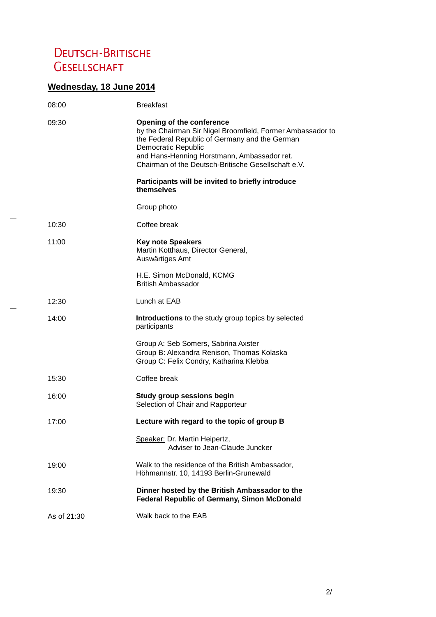## DEUTSCH-BRITISCHE **GESELLSCHAFT**

## **Wednesday, 18 June 2014**

| 08:00       | <b>Breakfast</b>                                                                                                                                                                                                                                                                     |
|-------------|--------------------------------------------------------------------------------------------------------------------------------------------------------------------------------------------------------------------------------------------------------------------------------------|
| 09:30       | <b>Opening of the conference</b><br>by the Chairman Sir Nigel Broomfield, Former Ambassador to<br>the Federal Republic of Germany and the German<br><b>Democratic Republic</b><br>and Hans-Henning Horstmann, Ambassador ret.<br>Chairman of the Deutsch-Britische Gesellschaft e.V. |
|             | Participants will be invited to briefly introduce<br>themselves                                                                                                                                                                                                                      |
|             | Group photo                                                                                                                                                                                                                                                                          |
| 10:30       | Coffee break                                                                                                                                                                                                                                                                         |
| 11:00       | <b>Key note Speakers</b><br>Martin Kotthaus, Director General,<br>Auswärtiges Amt                                                                                                                                                                                                    |
|             | H.E. Simon McDonald, KCMG<br><b>British Ambassador</b>                                                                                                                                                                                                                               |
| 12:30       | Lunch at EAB                                                                                                                                                                                                                                                                         |
| 14:00       | Introductions to the study group topics by selected<br>participants                                                                                                                                                                                                                  |
|             | Group A: Seb Somers, Sabrina Axster<br>Group B: Alexandra Renison, Thomas Kolaska<br>Group C: Felix Condry, Katharina Klebba                                                                                                                                                         |
| 15:30       | Coffee break                                                                                                                                                                                                                                                                         |
| 16:00       | <b>Study group sessions begin</b><br>Selection of Chair and Rapporteur                                                                                                                                                                                                               |
| 17:00       | Lecture with regard to the topic of group B                                                                                                                                                                                                                                          |
|             | Speaker: Dr. Martin Heipertz,<br>Adviser to Jean-Claude Juncker                                                                                                                                                                                                                      |
| 19:00       | Walk to the residence of the British Ambassador,<br>Höhmannstr. 10, 14193 Berlin-Grunewald                                                                                                                                                                                           |
| 19:30       | Dinner hosted by the British Ambassador to the<br><b>Federal Republic of Germany, Simon McDonald</b>                                                                                                                                                                                 |
| As of 21:30 | Walk back to the EAB                                                                                                                                                                                                                                                                 |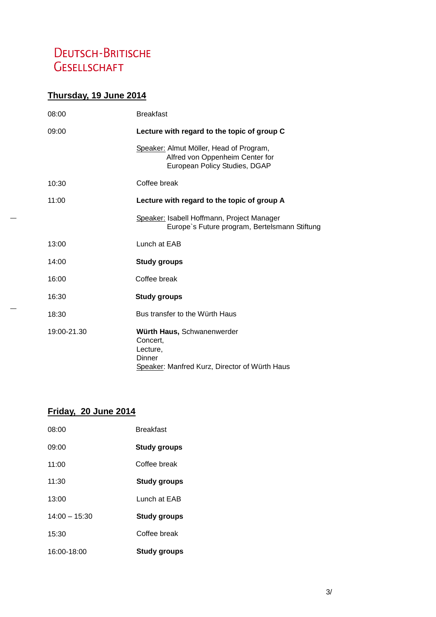# DEUTSCH-BRITISCHE **GESELLSCHAFT**

## **Thursday, 19 June 2014**

| 08:00       | <b>Breakfast</b>                                                                                              |
|-------------|---------------------------------------------------------------------------------------------------------------|
| 09:00       | Lecture with regard to the topic of group C                                                                   |
|             | Speaker: Almut Möller, Head of Program,<br>Alfred von Oppenheim Center for<br>European Policy Studies, DGAP   |
| 10:30       | Coffee break                                                                                                  |
| 11:00       | Lecture with regard to the topic of group A                                                                   |
|             | Speaker: Isabell Hoffmann, Project Manager<br>Europe's Future program, Bertelsmann Stiftung                   |
| 13:00       | Lunch at EAB                                                                                                  |
| 14:00       | <b>Study groups</b>                                                                                           |
| 16:00       | Coffee break                                                                                                  |
| 16:30       | <b>Study groups</b>                                                                                           |
| 18:30       | Bus transfer to the Würth Haus                                                                                |
| 19:00-21.30 | Würth Haus, Schwanenwerder<br>Concert,<br>Lecture,<br>Dinner<br>Speaker: Manfred Kurz, Director of Würth Haus |

#### **Friday, 20 June 2014**

| 16:00-18:00     | Study groups        |
|-----------------|---------------------|
| 15:30           | Coffee break        |
| $14:00 - 15:30$ | <b>Study groups</b> |
| 13:00           | Lunch at EAB        |
| 11:30           | <b>Study groups</b> |
| 11:00           | Coffee break        |
| 09:00           | <b>Study groups</b> |
| 08:00           | <b>Breakfast</b>    |